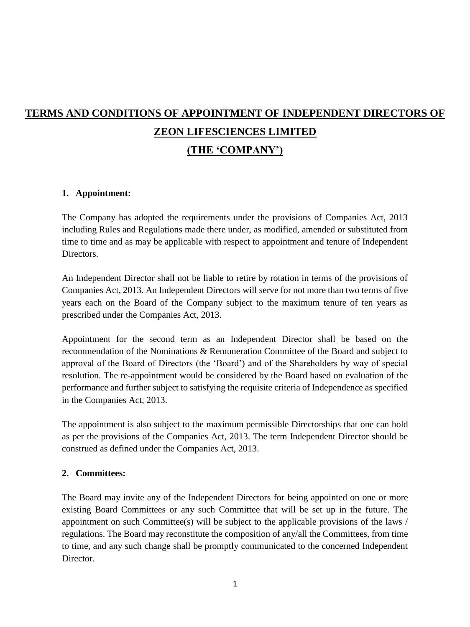# **TERMS AND CONDITIONS OF APPOINTMENT OF INDEPENDENT DIRECTORS OF ZEON LIFESCIENCES LIMITED (THE 'COMPANY')**

### **1. Appointment:**

The Company has adopted the requirements under the provisions of Companies Act, 2013 including Rules and Regulations made there under, as modified, amended or substituted from time to time and as may be applicable with respect to appointment and tenure of Independent Directors.

An Independent Director shall not be liable to retire by rotation in terms of the provisions of Companies Act, 2013. An Independent Directors will serve for not more than two terms of five years each on the Board of the Company subject to the maximum tenure of ten years as prescribed under the Companies Act, 2013.

Appointment for the second term as an Independent Director shall be based on the recommendation of the Nominations & Remuneration Committee of the Board and subject to approval of the Board of Directors (the 'Board') and of the Shareholders by way of special resolution. The re-appointment would be considered by the Board based on evaluation of the performance and further subject to satisfying the requisite criteria of Independence as specified in the Companies Act, 2013.

The appointment is also subject to the maximum permissible Directorships that one can hold as per the provisions of the Companies Act, 2013. The term Independent Director should be construed as defined under the Companies Act, 2013.

### **2. Committees:**

The Board may invite any of the Independent Directors for being appointed on one or more existing Board Committees or any such Committee that will be set up in the future. The appointment on such Committee(s) will be subject to the applicable provisions of the laws / regulations. The Board may reconstitute the composition of any/all the Committees, from time to time, and any such change shall be promptly communicated to the concerned Independent Director.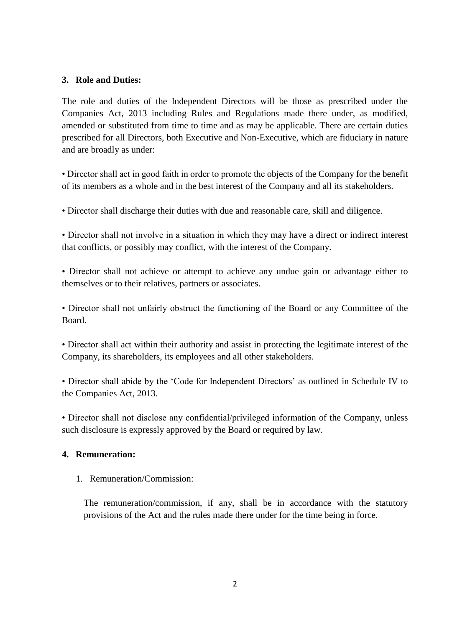### **3. Role and Duties:**

The role and duties of the Independent Directors will be those as prescribed under the Companies Act, 2013 including Rules and Regulations made there under, as modified, amended or substituted from time to time and as may be applicable. There are certain duties prescribed for all Directors, both Executive and Non-Executive, which are fiduciary in nature and are broadly as under:

• Director shall act in good faith in order to promote the objects of the Company for the benefit of its members as a whole and in the best interest of the Company and all its stakeholders.

• Director shall discharge their duties with due and reasonable care, skill and diligence.

• Director shall not involve in a situation in which they may have a direct or indirect interest that conflicts, or possibly may conflict, with the interest of the Company.

• Director shall not achieve or attempt to achieve any undue gain or advantage either to themselves or to their relatives, partners or associates.

• Director shall not unfairly obstruct the functioning of the Board or any Committee of the Board.

• Director shall act within their authority and assist in protecting the legitimate interest of the Company, its shareholders, its employees and all other stakeholders.

• Director shall abide by the 'Code for Independent Directors' as outlined in Schedule IV to the Companies Act, 2013.

• Director shall not disclose any confidential/privileged information of the Company, unless such disclosure is expressly approved by the Board or required by law.

### **4. Remuneration:**

1. Remuneration/Commission:

The remuneration/commission, if any, shall be in accordance with the statutory provisions of the Act and the rules made there under for the time being in force.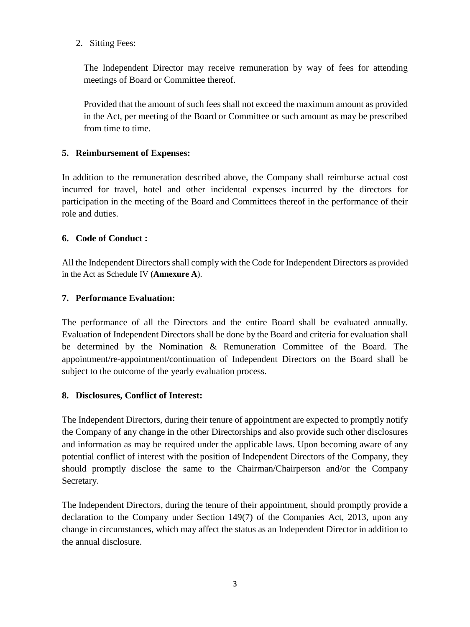2. Sitting Fees:

The Independent Director may receive remuneration by way of fees for attending meetings of Board or Committee thereof.

Provided that the amount of such fees shall not exceed the maximum amount as provided in the Act, per meeting of the Board or Committee or such amount as may be prescribed from time to time.

# **5. Reimbursement of Expenses:**

In addition to the remuneration described above, the Company shall reimburse actual cost incurred for travel, hotel and other incidental expenses incurred by the directors for participation in the meeting of the Board and Committees thereof in the performance of their role and duties.

# **6. Code of Conduct :**

All the Independent Directors shall comply with the Code for Independent Directors as provided in the Act as Schedule IV (**Annexure A**).

# **7. Performance Evaluation:**

The performance of all the Directors and the entire Board shall be evaluated annually. Evaluation of Independent Directors shall be done by the Board and criteria for evaluation shall be determined by the Nomination & Remuneration Committee of the Board. The appointment/re-appointment/continuation of Independent Directors on the Board shall be subject to the outcome of the yearly evaluation process.

# **8. Disclosures, Conflict of Interest:**

The Independent Directors, during their tenure of appointment are expected to promptly notify the Company of any change in the other Directorships and also provide such other disclosures and information as may be required under the applicable laws. Upon becoming aware of any potential conflict of interest with the position of Independent Directors of the Company, they should promptly disclose the same to the Chairman/Chairperson and/or the Company Secretary.

The Independent Directors, during the tenure of their appointment, should promptly provide a declaration to the Company under Section 149(7) of the Companies Act, 2013, upon any change in circumstances, which may affect the status as an Independent Director in addition to the annual disclosure.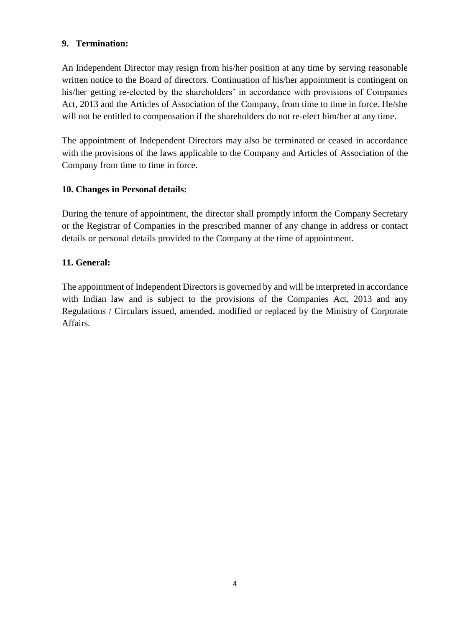# **9. Termination:**

An Independent Director may resign from his/her position at any time by serving reasonable written notice to the Board of directors. Continuation of his/her appointment is contingent on his/her getting re-elected by the shareholders' in accordance with provisions of Companies Act, 2013 and the Articles of Association of the Company, from time to time in force. He/she will not be entitled to compensation if the shareholders do not re-elect him/her at any time.

The appointment of Independent Directors may also be terminated or ceased in accordance with the provisions of the laws applicable to the Company and Articles of Association of the Company from time to time in force.

# **10. Changes in Personal details:**

During the tenure of appointment, the director shall promptly inform the Company Secretary or the Registrar of Companies in the prescribed manner of any change in address or contact details or personal details provided to the Company at the time of appointment.

# **11. General:**

The appointment of Independent Directors is governed by and will be interpreted in accordance with Indian law and is subject to the provisions of the Companies Act, 2013 and any Regulations / Circulars issued, amended, modified or replaced by the Ministry of Corporate Affairs.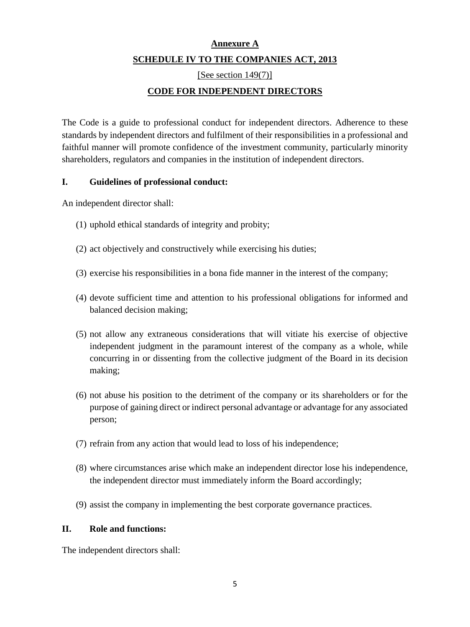# **Annexure A SCHEDULE IV TO THE COMPANIES ACT, 2013**

[See section 149(7)]

# **CODE FOR INDEPENDENT DIRECTORS**

The Code is a guide to professional conduct for independent directors. Adherence to these standards by independent directors and fulfilment of their responsibilities in a professional and faithful manner will promote confidence of the investment community, particularly minority shareholders, regulators and companies in the institution of independent directors.

### **I. Guidelines of professional conduct:**

An independent director shall:

- (1) uphold ethical standards of integrity and probity;
- (2) act objectively and constructively while exercising his duties;
- (3) exercise his responsibilities in a bona fide manner in the interest of the company;
- (4) devote sufficient time and attention to his professional obligations for informed and balanced decision making;
- (5) not allow any extraneous considerations that will vitiate his exercise of objective independent judgment in the paramount interest of the company as a whole, while concurring in or dissenting from the collective judgment of the Board in its decision making;
- (6) not abuse his position to the detriment of the company or its shareholders or for the purpose of gaining direct or indirect personal advantage or advantage for any associated person;
- (7) refrain from any action that would lead to loss of his independence;
- (8) where circumstances arise which make an independent director lose his independence, the independent director must immediately inform the Board accordingly;
- (9) assist the company in implementing the best corporate governance practices.

### **II. Role and functions:**

The independent directors shall: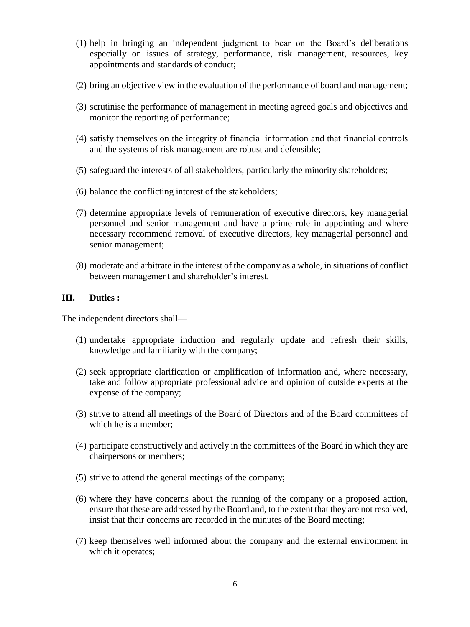- (1) help in bringing an independent judgment to bear on the Board's deliberations especially on issues of strategy, performance, risk management, resources, key appointments and standards of conduct;
- (2) bring an objective view in the evaluation of the performance of board and management;
- (3) scrutinise the performance of management in meeting agreed goals and objectives and monitor the reporting of performance;
- (4) satisfy themselves on the integrity of financial information and that financial controls and the systems of risk management are robust and defensible;
- (5) safeguard the interests of all stakeholders, particularly the minority shareholders;
- (6) balance the conflicting interest of the stakeholders;
- (7) determine appropriate levels of remuneration of executive directors, key managerial personnel and senior management and have a prime role in appointing and where necessary recommend removal of executive directors, key managerial personnel and senior management;
- (8) moderate and arbitrate in the interest of the company as a whole, in situations of conflict between management and shareholder's interest.

### **III. Duties :**

The independent directors shall—

- (1) undertake appropriate induction and regularly update and refresh their skills, knowledge and familiarity with the company;
- (2) seek appropriate clarification or amplification of information and, where necessary, take and follow appropriate professional advice and opinion of outside experts at the expense of the company;
- (3) strive to attend all meetings of the Board of Directors and of the Board committees of which he is a member;
- (4) participate constructively and actively in the committees of the Board in which they are chairpersons or members;
- (5) strive to attend the general meetings of the company;
- (6) where they have concerns about the running of the company or a proposed action, ensure that these are addressed by the Board and, to the extent that they are not resolved, insist that their concerns are recorded in the minutes of the Board meeting;
- (7) keep themselves well informed about the company and the external environment in which it operates;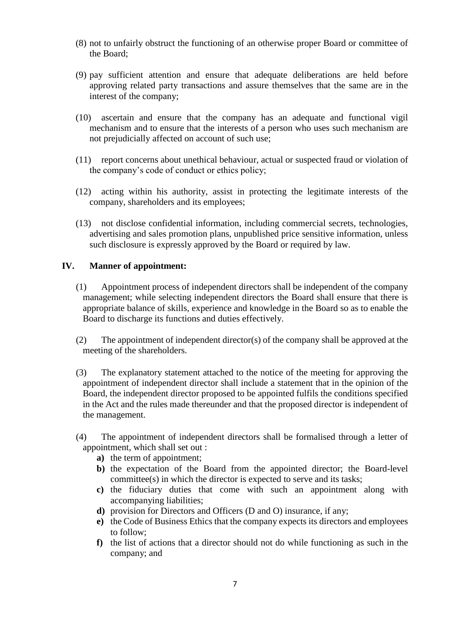- (8) not to unfairly obstruct the functioning of an otherwise proper Board or committee of the Board;
- (9) pay sufficient attention and ensure that adequate deliberations are held before approving related party transactions and assure themselves that the same are in the interest of the company;
- (10) ascertain and ensure that the company has an adequate and functional vigil mechanism and to ensure that the interests of a person who uses such mechanism are not prejudicially affected on account of such use;
- (11) report concerns about unethical behaviour, actual or suspected fraud or violation of the company's code of conduct or ethics policy;
- (12) acting within his authority, assist in protecting the legitimate interests of the company, shareholders and its employees;
- (13) not disclose confidential information, including commercial secrets, technologies, advertising and sales promotion plans, unpublished price sensitive information, unless such disclosure is expressly approved by the Board or required by law.

### **IV. Manner of appointment:**

- (1) Appointment process of independent directors shall be independent of the company management; while selecting independent directors the Board shall ensure that there is appropriate balance of skills, experience and knowledge in the Board so as to enable the Board to discharge its functions and duties effectively.
- (2) The appointment of independent director(s) of the company shall be approved at the meeting of the shareholders.
- (3) The explanatory statement attached to the notice of the meeting for approving the appointment of independent director shall include a statement that in the opinion of the Board, the independent director proposed to be appointed fulfils the conditions specified in the Act and the rules made thereunder and that the proposed director is independent of the management.
- (4) The appointment of independent directors shall be formalised through a letter of appointment, which shall set out :
	- **a)** the term of appointment;
	- **b)** the expectation of the Board from the appointed director; the Board-level committee(s) in which the director is expected to serve and its tasks;
	- **c)** the fiduciary duties that come with such an appointment along with accompanying liabilities;
	- **d)** provision for Directors and Officers (D and O) insurance, if any;
	- **e)** the Code of Business Ethics that the company expects its directors and employees to follow;
	- **f)** the list of actions that a director should not do while functioning as such in the company; and